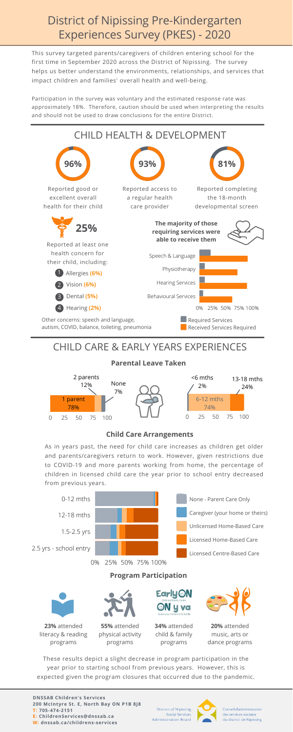This survey targeted parents/caregivers of children entering school for the first time in September 2020 across the District of Nipissing. The survey helps us better understand the environments, relationships, and services that impact children and families' overall health and well-being.

Participation in the survey was voluntary and the estimated response rate was approximately 18%. Therefore, caution should be used when interpreting the results and should not be used to draw conclusions for the entire District.

# District of Nipissing Pre-Kindergarten Experiences Survey (PKES) - 2020



#### 0 25 50 75 100 2 parents 12% 0 25 50 75 100 13-18 mths 24% <6 mths 2% 1 parent 78% None 7% 6-12 mths 74%

As in years past, the need for child care increases as children get older and parents/caregivers return to work. However, given restrictions due to COVID-19 and more parents working from home, the percentage of children in licensed child care the year prior to school entry decreased from previous years.



### CHILD CARE & EARLY YEARS EXPERIENCES

**Parental Leave Taken**

#### **Child Care Arrangements**

These results depict a slight decrease in program participation in the year prior to starting school from previous years. However, this is expected given the program closures that occurred due to the pandemic.

**DNSSAB Children's Services 200 McIntyre St. E, North Bay ON P1B 8J8 T: 705-474-2151 E: ChildrenServices@dnssab.ca W: dnssab.ca/childrens-services**

**District of Nipissing Social Services Administration Board** 



Conseil d'administration des services sociaux du district de Nipissing